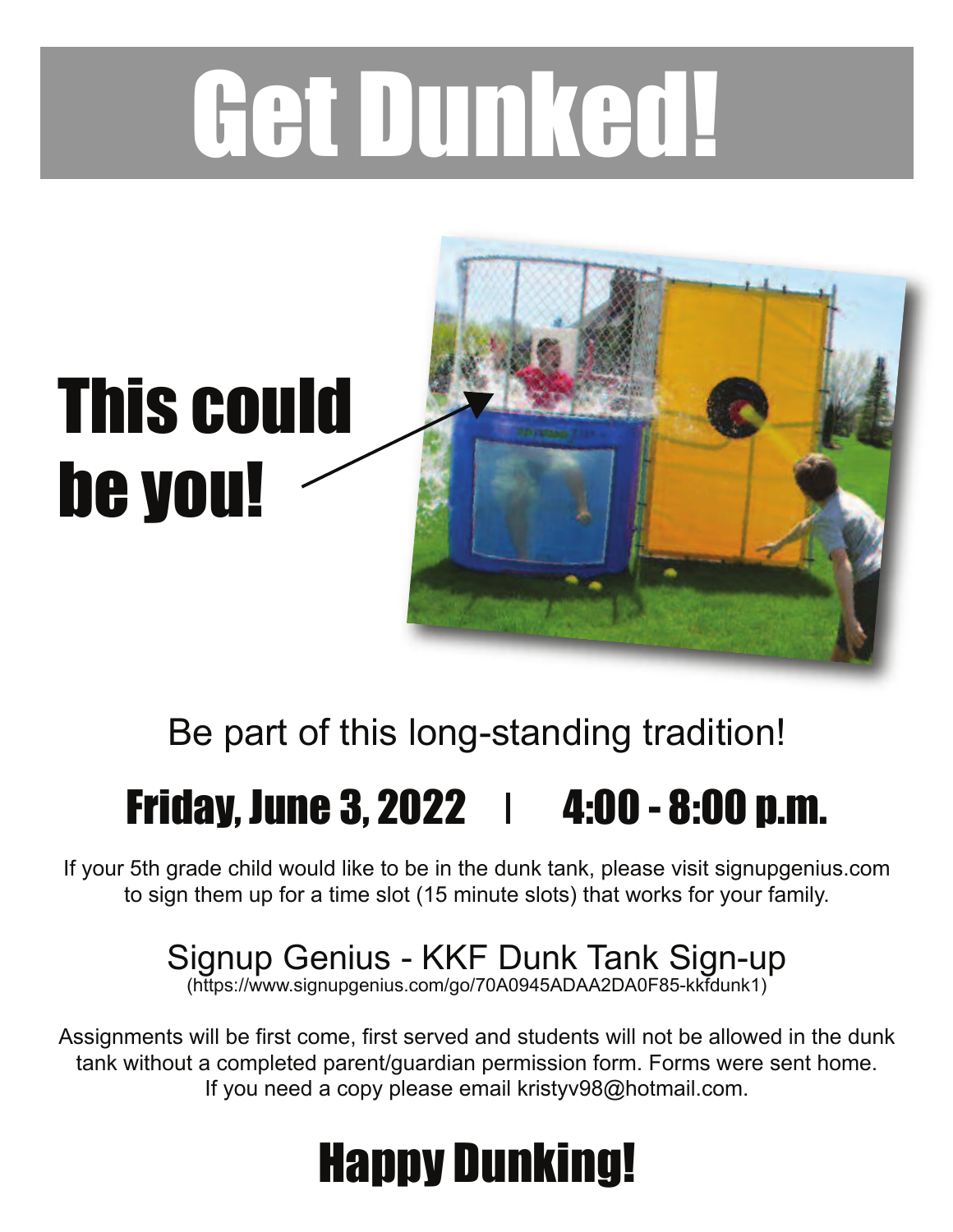# Get Dunked!



### Be part of this long-standing tradition!

## **Friday, June 3, 2022 | 4:00 - 8:00 p.m.**

If your 5th grade child would like to be in the dunk tank, please visit signupgenius.com to sign them up for a time slot (15 minute slots) that works for your family.

#### Signup Genius - KKF Dunk Tank Sign-up

(https://www.signupgenius.com/go/70A0945ADAA2DA0F85-kkfdunk1)

Assignments will be first come, first served and students will not be allowed in the dunk tank without a completed parent/guardian permission form. Forms were sent home. If you need a copy please email kristyv98@hotmail.com.

# Happy Dunking!